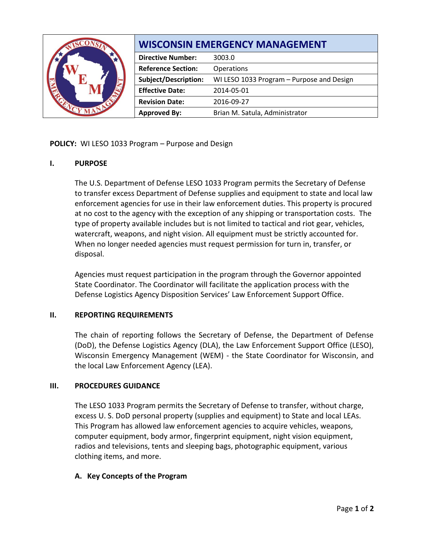|  | <b>WISCONSIN EMERGENCY MANAGEMENT</b> |                                           |
|--|---------------------------------------|-------------------------------------------|
|  | <b>Directive Number:</b>              | 3003.0                                    |
|  | <b>Reference Section:</b>             | Operations                                |
|  | <b>Subject/Description:</b>           | WI LESO 1033 Program - Purpose and Design |
|  | <b>Effective Date:</b>                | 2014-05-01                                |
|  | <b>Revision Date:</b>                 | 2016-09-27                                |
|  | <b>Approved By:</b>                   | Brian M. Satula, Administrator            |

**POLICY:** WI LESO 1033 Program – Purpose and Design

## **I. PURPOSE**

The U.S. Department of Defense LESO 1033 Program permits the Secretary of Defense to transfer excess Department of Defense supplies and equipment to state and local law enforcement agencies for use in their law enforcement duties. This property is procured at no cost to the agency with the exception of any shipping or transportation costs. The type of property available includes but is not limited to tactical and riot gear, vehicles, watercraft, weapons, and night vision. All equipment must be strictly accounted for. When no longer needed agencies must request permission for turn in, transfer, or disposal.

Agencies must request participation in the program through the Governor appointed State Coordinator. The Coordinator will facilitate the application process with the Defense Logistics Agency Disposition Services' Law Enforcement Support Office.

### **II. REPORTING REQUIREMENTS**

The chain of reporting follows the Secretary of Defense, the Department of Defense (DoD), the Defense Logistics Agency (DLA), the Law Enforcement Support Office (LESO), Wisconsin Emergency Management (WEM) - the State Coordinator for Wisconsin, and the local Law Enforcement Agency (LEA).

## **III. PROCEDURES GUIDANCE**

The LESO 1033 Program permits the Secretary of Defense to transfer, without charge, excess U. S. DoD personal property (supplies and equipment) to State and local LEAs. This Program has allowed law enforcement agencies to acquire vehicles, weapons, computer equipment, body armor, fingerprint equipment, night vision equipment, radios and televisions, tents and sleeping bags, photographic equipment, various clothing items, and more.

## **A. Key Concepts of the Program**